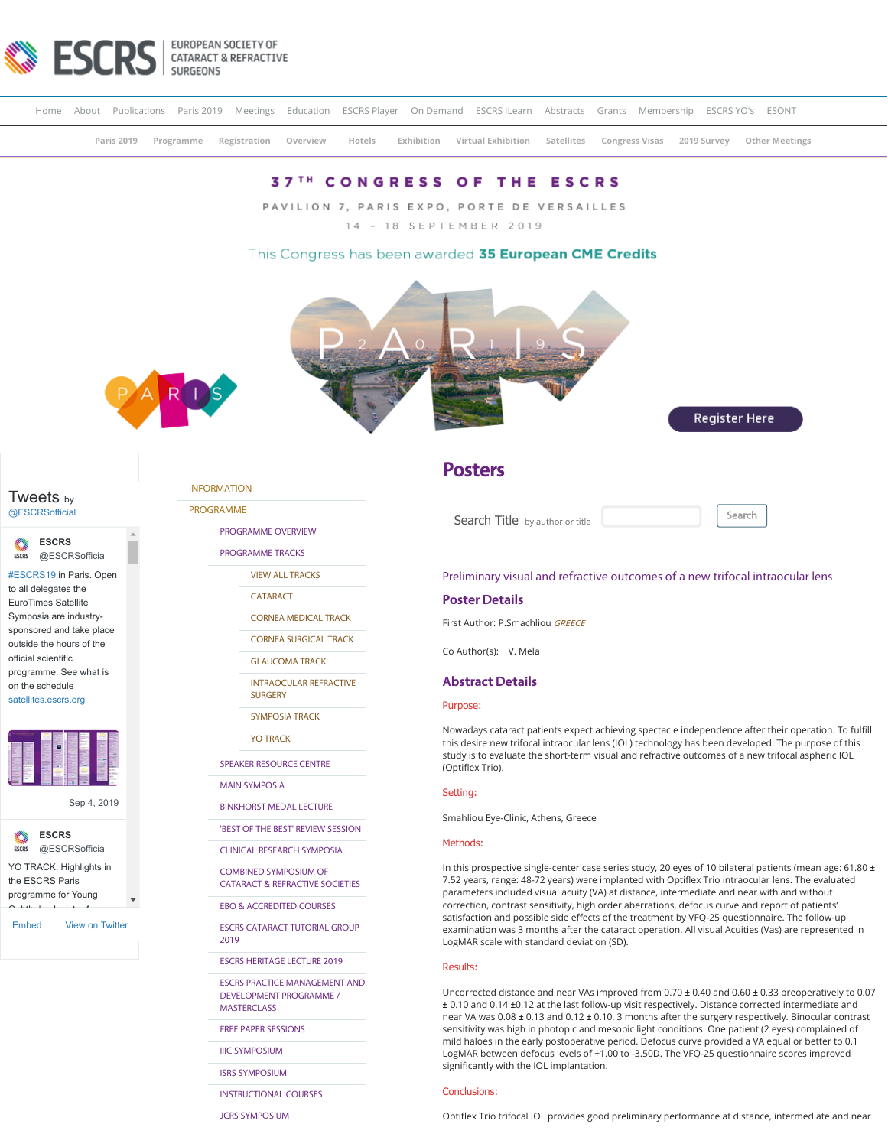

[Home](https://www.escrs.org/) [About](https://www.escrs.org/about-escrs/) Publications [Paris 2019](https://www.escrs.org/paris2019/) Meetings [Education](http://education.escrs.org/) [ESCRS Player](http://player.escrs.org/) [On Demand](http://escrs.conference2web.com/) [ESCRS iLearn](http://elearning.escrs.org/) [Abstracts](https://www.escrs.org/abstracts) Grants [Membership](https://www.escrs.org/escrs-membership/default.asp) [ESCRS YO's](http://yo.escrs.org/) [ESONT](http://www.esont.org/)

**[Paris 2019](https://www.escrs.org/paris2019/) [Programme](https://www.escrs.org/paris2019/) [Registration](https://www.escrs.org/paris2019/registration.asp) [Overview](https://www.escrs.org/paris2019/programme/prog_overview.asp) [Hotels](https://www.escrs.org/paris2019/hotel-information.asp) [Exhibition](https://www.escrs.org/paris2019/exhibition) [Virtual Exhibition](https://www.escrs.org/paris2019/virtual-exhibition.asp) [Satellites](http://satellites.escrs.org/) [Congress Visas](https://congressvisas.org/index.php?domain=escrs.org) [2019 Survey](http://escrs.org/2019survey) Other Meetings**

# **37TH CONGRESS OF THE ESCRS**

PAVILION 7, PARIS EXPO, PORTE DE VERSAILLES

14 - 18 SEPTEMBER 2019

# This Congress has been awarded 35 European CME Credits



Register Here



## Tweets by [@ESCRSofficial](https://twitter.com/ESCRSofficial)

**ESCRS ESCRS** [@ESCRSofficia](https://twitter.com/ESCRSofficial)

[#ESCRS19](https://twitter.com/hashtag/ESCRS19?src=hash) in Paris. Open to all delegates the EuroTimes Satellite Symposia are industrysponsored and take place outside the hours of the official scientific programme. See what is on the schedule [satellites.escrs.org](https://t.co/3xG4psOegg)

[Sep 4, 2019](https://twitter.com/ESCRSofficial/status/1169282841303273472)



[Embed](https://publish.twitter.com/?url=https%3A%2F%2Ftwitter.com%2FESCRSofficial) [View on Twitter](https://twitter.com/ESCRSofficial)

## [INFORMATION](https://www.escrs.org/paris2019/default.asp)

[PROGRAMME](https://www.escrs.org/paris2019/default.asp)

[PROGRAMME OVERVIEW](https://www.escrs.org/paris2019/programme/prog_overview.asp)

[PROGRAMME TRACKS](javascript:void(0);)

[VIEW ALL TRACKS](https://www.escrs.org/paris2019/programme/tracks.asp)

[CATARACT](https://www.escrs.org/paris2019/programme/downloads/Tracks_Cataract_and_Refractive.pdf)

[CORNEA MEDICAL TRACK](https://www.escrs.org/paris2019/programme/downloads/Tracks_Cornea_Medical_Track.pdf)

[CORNEA SURGICAL TRACK](https://www.escrs.org/paris2019/programme/downloads/Tracks_Cornea_Surgical_Track.pdf)

[GLAUCOMA TRACK](https://www.escrs.org/paris2019/programme/downloads/Track_Glaucoma.pdf)

[INTRAOCULAR REFRACTIVE](https://www.escrs.org/paris2019/programme/downloads/Tracks_Intraocular_Refractive_Surgery.pdf)

**SURGERY** 

[SYMPOSIA TRACK](https://www.escrs.org/paris2019/programme/downloads/Tracks_Symposia.pdf)

[YO TRACK](https://www.escrs.org/paris2019/programme/downloads/Tracks_Young_Ophthalmologists.pdf)

[SPEAKER RESOURCE CENTRE](https://2019escr.smarteventscloud.com/content/login.do)

[MAIN SYMPOSIA](https://www.escrs.org/paris2019/programme/main-symposia.asp)

[BINKHORST MEDAL LECTURE](https://www.escrs.org/paris2019/programme/Binkhorst_Medal_Lecture.asp)

['BEST OF THE BEST' REVIEW SESSION](https://www.escrs.org/paris2019/programme/best-of-the-best.asp)

[CLINICAL RESEARCH SYMPOSIA](https://www.escrs.org/paris2019/programme/clinical-research.asp)

COMBINED SYMPOSIUM OF [CATARACT & REFRACTIVE SOCIETIES](https://www.escrs.org/paris2019/programme/cscrs.asp)

[EBO & ACCREDITED COURSES](https://www.escrs.org/paris2019/programme/EBO&Accredited-Courses.asp)

[ESCRS CATARACT TUTORIAL GROUP](https://www.escrs.org/paris2019/programme/Cataract_Tutorial_Group.asp) 2019

[ESCRS HERITAGE LECTURE 2019](https://www.escrs.org/paris2019/programme/ESCRS_Heritage_Lecture_2019.asp)

[ESCRS PRACTICE MANAGEMENT AND](https://www.escrs.org/paris2019/programme/ESCRS-Practice-Management-and-Development-Programme.asp) DEVELOPMENT PROGRAMME / **MASTERCLASS** 

[FREE PAPER SESSIONS](javascript:void(0);)

[IIIC SYMPOSIUM](https://www.escrs.org/paris2019/programme/IIIC_symposium.asp)

[ISRS SYMPOSIUM](https://www.escrs.org/paris2019/programme/ISRS.asp)

[INSTRUCTIONAL COURSES](https://www.escrs.org/paris2019/programme/instructional-courses.asp?day=I)

JCRS SYMPOSIUM

# **Posters**

Search Title by author or title Search

### Preliminary visual and refractive outcomes of a new trifocal intraocular lens

### **Poster Details**

First Author: P.Smachliou GREECE

Co Author(s): V. Mela

### **Abstract Details**

#### Purpose:

Nowadays cataract patients expect achieving spectacle independence after their operation. To fulfill this desire new trifocal intraocular lens (IOL) technology has been developed. The purpose of this study is to evaluate the short-term visual and refractive outcomes of a new trifocal aspheric IOL (Optiflex Trio).

#### Setting:

Smahliou Eye-Clinic, Athens, Greece

#### Methods:

In this prospective single-center case series study, 20 eyes of 10 bilateral patients (mean age: 61.80  $\pm$ 7.52 years, range: 48-72 years) were implanted with Optiflex Trio intraocular lens. The evaluated parameters included visual acuity (VA) at distance, intermediate and near with and without correction, contrast sensitivity, high order aberrations, defocus curve and report of patients' satisfaction and possible side effects of the treatment by VFQ-25 questionnaire. The follow-up examination was 3 months after the cataract operation. All visual Acuities (Vas) are represented in LogMAR scale with standard deviation (SD).

#### Results:

Uncorrected distance and near VAs improved from 0.70 ± 0.40 and 0.60 ± 0.33 preoperatively to 0.07 ± 0.10 and 0.14 ±0.12 at the last follow-up visit respectively. Distance corrected intermediate and near VA was 0.08 ± 0.13 and 0.12 ± 0.10, 3 months after the surgery respectively. Binocular contrast sensitivity was high in photopic and mesopic light conditions. One patient (2 eyes) complained of mild haloes in the early postoperative period. Defocus curve provided a VA equal or better to 0.1 LogMAR between defocus levels of +1.00 to -3.50D. The VFQ-25 questionnaire scores improved significantly with the IOL implantation.

#### Conclusions:

https://www.escrs.org/paris2019/[programme/posters-details.asp](https://www.escrs.org/paris2019/programme/JCRS-symposium.asp)?id=33591 1/2 Optiflex Trio trifocal IOL provides good preliminary performance at distance, intermediate and near